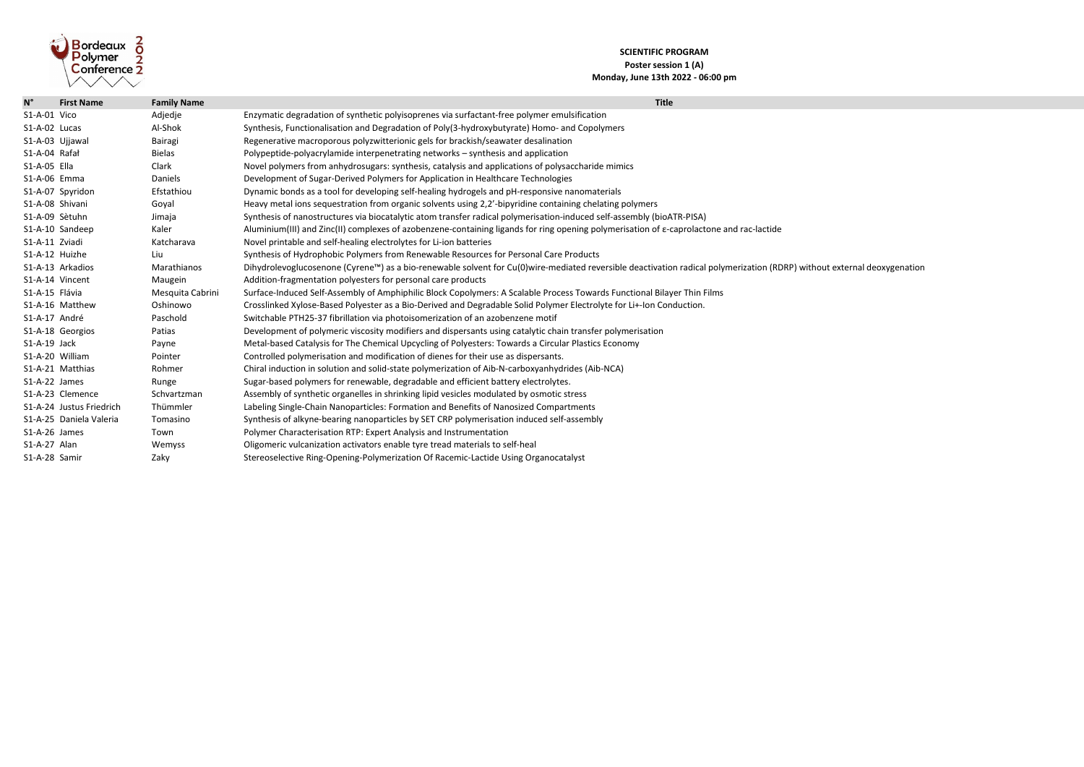

## **SCIENTIFIC PROGRAM Poster session 1 (A) Monday, June 13th 2022 - 06:00 pm**

| $N^{\circ}$     | <b>First Name</b>        | <b>Family Name</b> | <b>Title</b>                                                                                                                                          |
|-----------------|--------------------------|--------------------|-------------------------------------------------------------------------------------------------------------------------------------------------------|
| S1-A-01 Vico    |                          | Adjedje            | Enzymatic degradation of synthetic polyisoprenes via surfactant-free polymer emulsification                                                           |
| S1-A-02 Lucas   |                          | Al-Shok            | Synthesis, Functionalisation and Degradation of Poly(3-hydroxybutyrate) Homo- and Copolymers                                                          |
| S1-A-03 Ujjawal |                          | Bairagi            | Regenerative macroporous polyzwitterionic gels for brackish/seawater desalination                                                                     |
| S1-A-04 Rafał   |                          | <b>Bielas</b>      | Polypeptide-polyacrylamide interpenetrating networks - synthesis and application                                                                      |
| S1-A-05 Ella    |                          | Clark              | Novel polymers from anhydrosugars: synthesis, catalysis and applications of polysaccharide mimics                                                     |
| S1-A-06 Emma    |                          | <b>Daniels</b>     | Development of Sugar-Derived Polymers for Application in Healthcare Technologies                                                                      |
|                 | S1-A-07 Spyridon         | Efstathiou         | Dynamic bonds as a tool for developing self-healing hydrogels and pH-responsive nanomaterials                                                         |
| S1-A-08 Shivani |                          | Goyal              | Heavy metal ions sequestration from organic solvents using 2,2'-bipyridine containing chelating polymers                                              |
| S1-A-09 Sètuhn  |                          | Jimaja             | Synthesis of nanostructures via biocatalytic atom transfer radical polymerisation-induced self-assembly (bioATR-PISA)                                 |
|                 | S1-A-10 Sandeep          | Kaler              | Aluminium(III) and Zinc(II) complexes of azobenzene-containing ligands for ring opening polymerisation of $\varepsilon$ -caprolactone and rac-lactide |
| S1-A-11 Zviadi  |                          | Katcharava         | Novel printable and self-healing electrolytes for Li-ion batteries                                                                                    |
| S1-A-12 Huizhe  |                          | Liu                | Synthesis of Hydrophobic Polymers from Renewable Resources for Personal Care Products                                                                 |
|                 | S1-A-13 Arkadios         | Marathianos        | Dihydrolevoglucosenone (Cyrene™) as a bio-renewable solvent for Cu(0)wire-mediated reversible deactivation radical polymerization (RD                 |
|                 | S1-A-14 Vincent          | Maugein            | Addition-fragmentation polyesters for personal care products                                                                                          |
| S1-A-15 Flávia  |                          | Mesquita Cabrini   | Surface-Induced Self-Assembly of Amphiphilic Block Copolymers: A Scalable Process Towards Functional Bilayer Thin Films                               |
|                 | S1-A-16 Matthew          | Oshinowo           | Crosslinked Xylose-Based Polyester as a Bio-Derived and Degradable Solid Polymer Electrolyte for Li+-Ion Conduction.                                  |
| S1-A-17 André   |                          | Paschold           | Switchable PTH25-37 fibrillation via photoisomerization of an azobenzene motif                                                                        |
|                 | S1-A-18 Georgios         | Patias             | Development of polymeric viscosity modifiers and dispersants using catalytic chain transfer polymerisation                                            |
| S1-A-19 Jack    |                          | Payne              | Metal-based Catalysis for The Chemical Upcycling of Polyesters: Towards a Circular Plastics Economy                                                   |
| S1-A-20 William |                          | Pointer            | Controlled polymerisation and modification of dienes for their use as dispersants.                                                                    |
|                 | S1-A-21 Matthias         | Rohmer             | Chiral induction in solution and solid-state polymerization of Aib-N-carboxyanhydrides (Aib-NCA)                                                      |
| S1-A-22 James   |                          | Runge              | Sugar-based polymers for renewable, degradable and efficient battery electrolytes.                                                                    |
|                 | S1-A-23 Clemence         | Schvartzman        | Assembly of synthetic organelles in shrinking lipid vesicles modulated by osmotic stress                                                              |
|                 | S1-A-24 Justus Friedrich | Thümmler           | Labeling Single-Chain Nanoparticles: Formation and Benefits of Nanosized Compartments                                                                 |
|                 | S1-A-25 Daniela Valeria  | Tomasino           | Synthesis of alkyne-bearing nanoparticles by SET CRP polymerisation induced self-assembly                                                             |
| S1-A-26 James   |                          | Town               | Polymer Characterisation RTP: Expert Analysis and Instrumentation                                                                                     |
| S1-A-27 Alan    |                          | Wemyss             | Oligomeric vulcanization activators enable tyre tread materials to self-heal                                                                          |
| S1-A-28 Samir   |                          | Zaky               | Stereoselective Ring-Opening-Polymerization Of Racemic-Lactide Using Organocatalyst                                                                   |

 $m$ erization (RDRP) without external deoxygenation